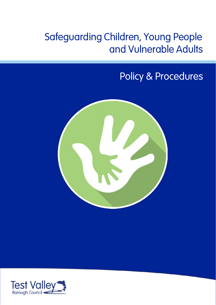# Safeguarding Children, Young People and Vulnerable Adults

# Policy & Procedures



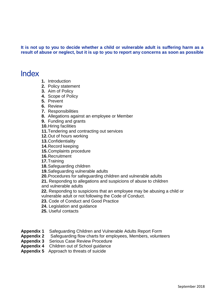**It is not up to you to decide whether a child or vulnerable adult is suffering harm as a result of abuse or neglect, but it is up to you to report any concerns as soon as possible**

### Index

- **1.** Introduction
- **2.** Policy statement
- **3.** Aim of Policy
- **4.** Scope of Policy
- **5.** Prevent
- **6.** Review
- **7.** Responsibilities
- **8.** Allegations against an employee or Member
- **9.** Funding and grants
- **10.**Hiring facilities
- **11.**Tendering and contracting out services
- **12.**Out of hours working
- **13.**Confidentiality
- **14.**Record keeping
- **15.**Complaints procedure
- **16.**Recruitment
- **17.**Training
- **18.**Safeguarding children
- **19.**Safeguarding vulnerable adults
- **20.**Procedures for safeguarding children and vulnerable adults
- **21.** Responding to allegations and suspicions of abuse to children and vulnerable adults
- **22.** Responding to suspicions that an employee may be abusing a child or vulnerable adult or not following the Code of Conduct.
- **23.** Code of Conduct and Good Practice
- **24.** Legislation and guidance
- **25.** Useful contacts
- **Appendix 1** Safeguarding Children and Vulnerable Adults Report Form
- **Appendix 2** Safeguarding flow charts for employees, Members, volunteers
- **Appendix 3** Serious Case Review Procedure
- **Appendix 4** Children out of School guidance
- **Appendix 5** Approach to threats of suicide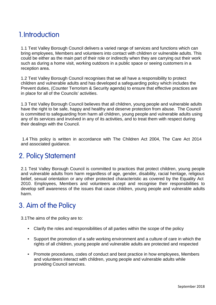# 1.Introduction

1.1 Test Valley Borough Council delivers a varied range of services and functions which can bring employees, Members and volunteers into contact with children or vulnerable adults. This could be either as the main part of their role or indirectly when they are carrying out their work such as during a home visit, working outdoors in a public space or seeing customers in a reception area.

1.2 Test Valley Borough Council recognises that we all have a responsibility to protect children and vulnerable adults and has developed a safeguarding policy which includes the Prevent duties, (Counter Terrorism & Security agenda) to ensure that effective practices are in place for all of the Councils' activities.

1.3 Test Valley Borough Council believes that all children, young people and vulnerable adults have the right to be safe, happy and healthy and deserve protection from abuse. The Council is committed to safeguarding from harm all children, young people and vulnerable adults using any of its services and involved in any of its activities, and to treat them with respect during their dealings with the Council.

1.4 This policy is written in accordance with The Children Act 2004, The Care Act 2014 and associated guidance.

## 2. Policy Statement

2.1 Test Valley Borough Council is committed to practices that protect children, young people and vulnerable adults from harm regardless of age, gender, disability, racial heritage, religious belief, sexual orientation or any other protected characteristic as covered by the Equality Act 2010. Employees, Members and volunteers accept and recognise their responsibilities to develop self awareness of the issues that cause children, young people and vulnerable adults harm.

## 3. Aim of the Policy

3.1The aims of the policy are to:

- Clarify the roles and responsibilities of all parties within the scope of the policy
- Support the promotion of a safe working environment and a culture of care in which the rights of all children, young people and vulnerable adults are protected and respected
- Promote procedures, codes of conduct and best practice in how employees, Members and volunteers interact with children, young people and vulnerable adults while providing Council services.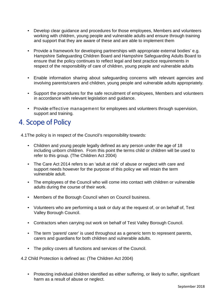- Develop clear guidance and procedures for those employees, Members and volunteers working with children, young people and vulnerable adults and ensure through training and support that they are aware of these and are able to implement them
- Provide a framework for developing partnerships with appropriate external bodies' e.g. Hampshire Safeguarding Children Board and Hampshire Safeguarding Adults Board to ensure that the policy continues to reflect legal and best practice requirements in respect of the responsibility of care of children, young people and vulnerable adults
- Enable information sharing about safeguarding concerns with relevant agencies and involving parents/carers and children, young people and vulnerable adults appropriately.
- Support the procedures for the safe recruitment of employees, Members and volunteers in accordance with relevant legislation and guidance.
- Provide effective management for employees and volunteers through supervision, support and training.

## 4. Scope of Policy

4.1The policy is in respect of the Council's responsibility towards:

- Children and young people legally defined as any person under the age of 18 including unborn children. From this point the terms child or children will be used to refer to this group. (The Children Act 2004)
- The Care Act 2014 refers to an 'adult at risk' of abuse or neglect with care and support needs however for the purpose of this policy we will retain the term vulnerable adult.
- The employees of the Council who will come into contact with children or vulnerable adults during the course of their work.
- Members of the Borough Council when on Council business.
- Volunteers who are performing a task or duty at the request of, or on behalf of, Test Valley Borough Council.
- Contractors when carrying out work on behalf of Test Valley Borough Council.
- The term 'parent/ carer' is used throughout as a generic term to represent parents, carers and guardians for both children and vulnerable adults.
- The policy covers all functions and services of the Council.
- 4.2 Child Protection is defined as: (The Children Act 2004)
	- Protecting individual children identified as either suffering, or likely to suffer, significant harm as a result of abuse or neglect.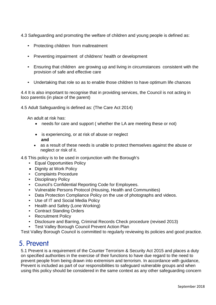4.3 Safeguarding and promoting the welfare of children and young people is defined as:

- Protecting children from maltreatment
- Preventing impairment of childrens' health or development
- Ensuring that children are growing up and living in circumstances consistent with the provision of safe and effective care
- Undertaking that role so as to enable those children to have optimum life chances

4.4 It is also important to recognise that in providing services, the Council is not acting in loco parentis (in place of the parent)

4.5 Adult Safeguarding is defined as: (The Care Act 2014)

An adult at risk has:

- needs for care and support (whether the LA are meeting these or not)
- is experiencing, or at risk of abuse or neglect  **and**
- as a result of these needs is unable to protect themselves against the abuse or neglect or risk of it.

4.6 This policy is to be used in conjunction with the Borough's

- Equal Opportunities Policy
- Dignity at Work Policy
- Complaints Procedure
- Disciplinary Policy
- Council's Confidential Reporting Code for Employees.
- Vulnerable Persons Protocol (Housing, Health and Communities)
- Data Protection Compliance Policy on the use of photographs and videos.
- Use of IT and Social Media Policy
- Health and Safety (Lone Working)
- Contract Standing Orders
- Recruitment Policy
- Disclosure and Barring, Criminal Records Check procedure (revised 2013)
- Test Valley Borough Council Prevent Action Plan

Test Valley Borough Council is committed to regularly reviewing its policies and good practice.

### 5. Prevent

5.1 Prevent is a requirement of the Counter Terrorism & Security Act 2015 and places a duty on specified authorities in the exercise of their functions to have due regard to the need to prevent people from being drawn into extremism and terrorism. In accordance with guidance, Prevent is included as part of our responsibilities to safeguard vulnerable groups and when using this policy should be considered in the same context as any other safeguarding concern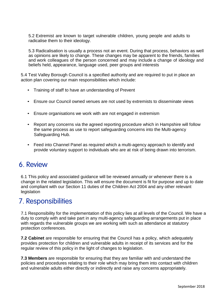5.2 Extremist are known to target vulnerable children, young people and adults to radicalise them to their ideology.

5.3 Radicalisation is usually a process not an event. During that process, behaviors as well as opinions are likely to change. These changes may be apparent to the friends, families and work colleagues of the person concerned and may include a change of ideology and beliefs held, appearance, language used, peer groups and interests

5.4 Test Valley Borough Council is a specified authority and are required to put in place an action plan covering our main responsibilities which include:

- Training of staff to have an understanding of Prevent
- Ensure our Council owned venues are not used by extremists to disseminate views
- Ensure organisations we work with are not engaged in extremism
- Report any concerns via the agreed reporting procedure which in Hampshire will follow the same process as use to report safeguarding concerns into the Multi-agency Safeguarding Hub.
- Feed into Channel Panel as required which a multi-agency approach to identify and provide voluntary support to individuals who are at risk of being drawn into terrorism.

### 6. Review

6.1 This policy and associated guidance will be reviewed annually or whenever there is a change in the related legislation. This will ensure the document is fit for purpose and up to date and compliant with our Section 11 duties of the Children Act 2004 and any other relevant legislation

## 7. Responsibilities

7.1 Responsibility for the implementation of this policy lies at all levels of the Council. We have a duty to comply with and take part in any multi-agency safeguarding arrangements put in place with regards the vulnerable groups we are working with such as attendance at statutory protection conferences.

**7.2 Cabinet** are responsible for ensuring that the Council has a policy, which adequately provides protection for children and vulnerable adults in receipt of its services and for the regular review of this policy in the light of changes to legislation.

**7.3 Members** are responsible for ensuring that they are familiar with and understand the policies and procedures relating to their role which may bring them into contact with children and vulnerable adults either directly or indirectly and raise any concerns appropriately.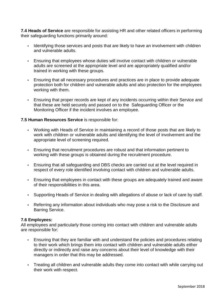**7.4 Heads of Service** are responsible for assisting HR and other related officers in performing their safeguarding functions primarily around:

- Identifying those services and posts that are likely to have an involvement with children and vulnerable adults.
- Ensuring that employees whose duties will involve contact with children or vulnerable adults are screened at the appropriate level and are appropriately qualified and/or trained in working with these groups.
- Ensuring that all necessary procedures and practices are in place to provide adequate protection both for children and vulnerable adults and also protection for the employees working with them.
- Ensuring that proper records are kept of any incidents occurring within their Service and that these are held securely and passed on to the Safeguarding Officer or the Monitoring Officer if the incident involves an employee.

#### **7.5 Human Resources Service** is responsible for:

- Working with Heads of Service in maintaining a record of those posts that are likely to work with children or vulnerable adults and identifying the level of involvement and the appropriate level of screening required.
- Ensuring that recruitment procedures are robust and that information pertinent to working with these groups is obtained during the recruitment procedure.
- Ensuring that all safeguarding and DBS checks are carried out at the level required in respect of every role identified involving contact with children and vulnerable adults.
- Ensuring that employees in contact with these groups are adequately trained and aware of their responsibilities in this area.
- Supporting Heads of Service in dealing with allegations of abuse or lack of care by staff.
- Referring any information about individuals who may pose a risk to the Disclosure and Barring Service.

#### **7.6 Employees:**

All employees and particularly those coming into contact with children and vulnerable adults are responsible for:

- Ensuring that they are familiar with and understand the policies and procedures relating to their work which brings them into contact with children and vulnerable adults either directly or indirectly and raise any concerns about their level of knowledge with their managers in order that this may be addressed.
- Treating all children and vulnerable adults they come into contact with while carrying out their work with respect.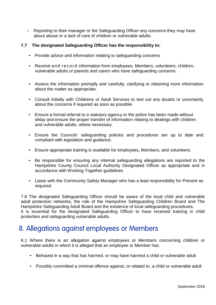• Reporting to their manager or the Safeguarding Officer any concerns they may have about abuse or a lack of care of children or vulnerable adults.

#### **7.7 The designated Safeguarding Officer has the responsibility to:**

- Provide advice and information relating to safeguarding concerns
- Receive and record information from employees, Members, volunteers, children, vulnerable adults or parents and carers who have safeguarding concerns.
- Assess the information promptly and carefully, clarifying or obtaining more information about the matter as appropriate.
- Consult initially with Childrens or Adult Services to test out any doubts or uncertainty about the concerns if required as soon as possible.
- Ensure a formal referral to a statutory agency or the police has been made without delay and ensure the proper transfer of information relating to dealings with children and vulnerable adults, where necessary.
- Ensure the Councils' safeguarding policies and procedures are up to date and compliant with legislation and guidance.
- Ensure appropriate training is available for employees, Members, and volunteers.
- Be responsible for ensuring any internal safeguarding allegations are reported to the Hampshire County Council Local Authority Designated Officer as appropriate and in accordance with Working Together guidelines
- Liaise with the Community Safety Manager who has a lead responsibility for Prevent as required.

7.8 The designated Safeguarding Officer should be aware of the local child and vulnerable adult protection networks, the role of the Hampshire Safeguarding Children Board and The Hampshire Safeguarding Adult Board and the existence of local safeguarding procedures. It is essential for the designated Safeguarding Officer to have received training in child protection and safeguarding vulnerable adults.

### 8. Allegations against employees or Members

8.1 Where there is an allegation against employees or Members concerning children or vulnerable adults in which it is alleged that an employee or Member has:

- Behaved in a way that has harmed, or may have harmed a child or vulnerable adult
- Possibly committed a criminal offence against, or related to, a child or vulnerable adult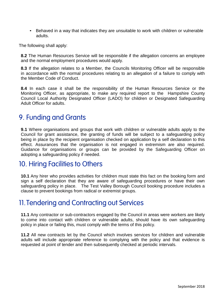• Behaved in a way that indicates they are unsuitable to work with children or vulnerable adults.

The following shall apply:

**8.2** The Human Resources Service will be responsible if the allegation concerns an employee and the normal employment procedures would apply.

**8.3** If the allegation relates to a Member, the Councils Monitoring Officer will be responsible in accordance with the normal procedures relating to an allegation of a failure to comply with the Member Code of Conduct.

**8.4** In each case it shall be the responsibility of the Human Resources Service or the Monitoring Officer, as appropriate, to make any required report to the Hampshire County Council Local Authority Designated Officer (LADO) for children or Designated Safeguarding Adult Officer for adults.

### 9. Funding and Grants

**9.1** Where organisations and groups that work with children or vulnerable adults apply to the Council for grant assistance, the granting of funds will be subject to a safeguarding policy being in place by the recipient organisation checked on application by a self declaration to this effect. Assurances that the organisation is not engaged in extremism are also required. Guidance for organisations or groups can be provided by the Safeguarding Officer on adopting a safeguarding policy if needed.

### 10. Hiring Facilities to Others

**10.1** Any hirer who provides activities for children must state this fact on the booking form and sign a self declaration that they are aware of safeguarding procedures or have their own safeguarding policy in place. The Test Valley Borough Council booking procedure includes a clause to prevent bookings from radical or extremist groups.

### 11.Tendering and Contracting out Services

**11.1** Any contractor or sub-contractors engaged by the Council in areas were workers are likely to come into contact with children or vulnerable adults, should have its own safeguarding policy in place or failing this, must comply with the terms of this policy.

**11.2** All new contracts let by the Council which involves services for children and vulnerable adults will include appropriate reference to complying with the policy and that evidence is requested at point of tender and then subsequently checked at periodic intervals.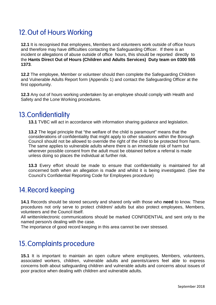# 12.Out of Hours Working

**12.1** It is recognised that employees, Members and volunteers work outside of office hours and therefore may have difficulties contacting the Safeguarding Officer. If there is an incident or allegations of abuse outside of office hours, this should be reported directly to the **Hants Direct Out of Hours (Children and Adults Services) Duty team on 0300 555 1373**.

**12.2** The employee, Member or volunteer should then complete the Safeguarding Children and Vulnerable Adults Report form (Appendix 1) and contact the Safeguarding Officer at the first opportunity.

**12.3** Any out of hours working undertaken by an employee should comply with Health and Safety and the Lone Working procedures.

## 13.Confidentiality

**13.1** TVBC will act in accordance with information sharing guidance and legislation.

**13.2** The legal principle that "the welfare of the child is paramount" means that the considerations of confidentiality that might apply to other situations within the Borough Council should not be allowed to override the right of the child to be protected from harm. The same applies to vulnerable adults where there is an immediate risk of harm but wherever possible consent from the adult must be obtained before a referral is made unless doing so places the individual at further risk.

**13.3** Every effort should be made to ensure that confidentiality is maintained for all concerned both when an allegation is made and whilst it is being investigated. (See the Council's Confidential Reporting Code for Employees procedure)

## 14.Record keeping

**14.1** Records should be stored securely and shared only with those who **need** to know. These procedures not only serve to protect children/ adults but also protect employees, Members, volunteers and the Council itself.

All written/electronic communications should be marked CONFIDENTIAL and sent only to the named person/s dealing with the case.

The importance of good record keeping in this area cannot be over stressed.

# 15.Complaints procedure

**15.1** It is important to maintain an open culture where employees, Members, volunteers, associated workers, children, vulnerable adults and parents/carers feel able to express concerns both about safeguarding children and vulnerable adults and concerns about issues of poor practice when dealing with children and vulnerable adults.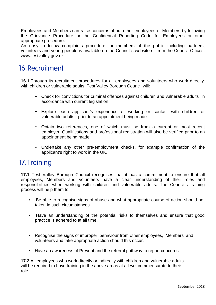Employees and Members can raise concerns about other employees or Members by following the Grievance Procedure or the Confidential Reporting Code for Employees or other appropriate procedure.

An easy to follow complaints procedure for members of the public including partners, volunteers and young people is available on the Council's website or from the Council Offices[.](http://www.testvalley.gov.uk/) [www.testvalley.gov.uk](http://www.testvalley.gov.uk/)

## 16.Recruitment

**16.1** Through its recruitment procedures for all employees and volunteers who work directly with children or vulnerable adults, Test Valley Borough Council will:

- Check for convictions for criminal offences against children and vulnerable adults in accordance with current legislation
- Explore each applicant's experience of working or contact with children or vulnerable adults prior to an appointment being made
- Obtain two references, one of which must be from a current or most recent employer. Qualifications and professional registration will also be verified prior to an appointment being made.
- Undertake any other pre-employment checks, for example confirmation of the applicant's right to work in the UK.

### 17.Training

**17.1** Test Valley Borough Council recognises that it has a commitment to ensure that all employees, Members and volunteers have a clear understanding of their roles and responsibilities when working with children and vulnerable adults. The Council's training process will help them to:

- Be able to recognise signs of abuse and what appropriate course of action should be taken in such circumstances.
- Have an understanding of the potential risks to themselves and ensure that good practice is adhered to at all time.
- Recognise the signs of improper behaviour from other employees, Members and volunteers and take appropriate action should this occur.
- Have an awareness of Prevent and the referral pathway to report concerns

**17.2** All employees who work directly or indirectly with children and vulnerable adults will be required to have training in the above areas at a level commensurate to their role.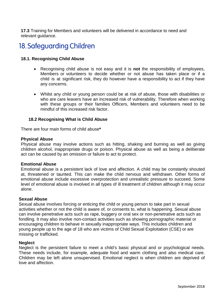**17.3** Training for Members and volunteers will be delivered in accordance to need and relevant guidance.

## 18.Safeguarding Children

#### **18.1. Recognising Child Abuse**

- Recognising child abuse is not easy and it is **not** the responsibility of employees, Members or volunteers to decide whether or not abuse has taken place or if a child is at significant risk, they do however have a responsibility to act if they have any concerns.
- Whilst any child or young person could be at risk of abuse, those with disabilities or who are care leavers have an increased risk of vulnerability. Therefore when working with these groups or their families Officers, Members and volunteers need to be mindful of this increased risk factor.

#### **18.2 Recognising What is Child Abuse**

There are four main forms of child abuse**\***

#### **Physical Abuse**

Physical abuse may involve actions such as hitting, shaking and burning as well as giving children alcohol, inappropriate drugs or poison. Physical abuse as well as being a deliberate act can be caused by an omission or failure to act to protect.

#### **Emotional Abuse**

Emotional abuse is a persistent lack of love and affection. A child may be constantly shouted at, threatened or taunted. This can make the child nervous and withdrawn. Other forms of emotional abuse include excessive overprotection and unrealistic pressure to succeed. Some level of emotional abuse is involved in all types of ill treatment of children although it may occur alone.

#### **Sexual Abuse**

Sexual abuse involves forcing or enticing the child or young person to take part in sexual activities whether or not the child is aware of, or consents to, what is happening. Sexual abuse can involve penetrative acts such as rape, buggery or oral sex or non-penetrative acts such as fondling. It may also involve non-contact activities such as showing pornographic material or encouraging children to behave in sexually inappropriate ways. This includes children and young people up to the age of 18 who are victims of Child Sexual Exploitation (CSE) or are missing or trafficked.

#### **Neglect**

Neglect is the persistent failure to meet a child's basic physical and or psychological needs. These needs include, for example, adequate food and warm clothing and also medical care. Children may be left alone unsupervised. Emotional neglect is when children are deprived of love and affection.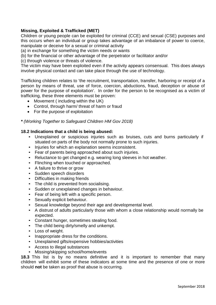#### **Missing, Exploited & Trafficked (MET)**

Children or young people can be exploited for criminal (CCE) and sexual (CSE) purposes and this occurs when an individual or group takes advantage of an imbalance of power to coerce, manipulate or deceive for a sexual or criminal activity

(a) in exchange for something the victim needs or wants

(b) for the financial or other advantage of the perpetrator or facilitator and/or

(c) through violence or threats of violence.

The victim may have been exploited even if the activity appears consensual. This does always involve physical contact and can take place through the use of technology.

Trafficking children relates to 'the recruitment, transportation, transfer, harboring or receipt of a person by means of threat, use of force, coercion, abductions, fraud, deception or abuse of power for the purpose of exploitation'. In order for the person to be recognised as a victim of trafficking, these three elements must be proven:

- Movement ( including within the UK)
- Control, through harm/ threat of harm or fraud
- For the purpose of exploitation

*\* (Working Together to Safeguard Children HM Gov 2018)*

#### **18.2 Indications that a child is being abused:**

- Unexplained or suspicious injuries such as bruises, cuts and burns particularly if situated on parts of the body not normally prone to such injuries.
- Injuries for which an explanation seems inconsistent.
- Fear of parents being approached about such injuries.
- Reluctance to get changed e.g. wearing long sleeves in hot weather.
- Flinching when touched or approached.
- A failure to thrive or grow
- Sudden speech disorders
- Difficulties in making friends
- The child is prevented from socialising.
- Sudden or unexplained changes in behaviour.
- Fear of being left with a specific person.
- Sexually explicit behaviour.
- Sexual knowledge beyond their age and developmental level.
- A distrust of adults particularly those with whom a close relationship would normally be expected.
- Constant hunger, sometimes stealing food.
- The child being dirty/smelly and unkempt.
- Loss of weight.
- Inappropriate dress for the conditions.
- Unexplained gifts/expensive hobbies/activities
- Access to illegal substances
- Missing/skipping school/home/events

**18.3** This list is by no means definitive and it is important to remember that many children will exhibit some of these indicators at some time and the presence of one or more should **not** be taken as proof that abuse is occurring.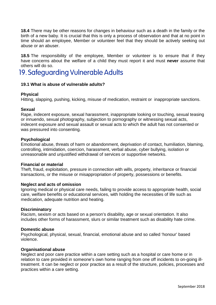**18.4** There may be other reasons for changes in behaviour such as a death in the family or the birth of a new baby. It is crucial that this is only a process of observation and that at no point in time should an employee, Member or volunteer feel that they should be actively seeking out abuse or an abuser.

**18.5** The responsibility of the employee, Member or volunteer is to ensure that if they have concerns about the welfare of a child they must report it and must **never** assume that others will do so.

## 19. Safeguarding Vulnerable Adults

#### **19.1 What is abuse of vulnerable adults?**

#### **Physical**

Hitting, slapping, pushing, kicking, misuse of medication, restraint or inappropriate sanctions.

#### **Sexual**

Rape, indecent exposure, sexual harassment, inappropriate looking or touching, sexual teasing or innuendo, sexual photography, subjection to pornography or witnessing sexual acts, indecent exposure and sexual assault or sexual acts to which the adult has not consented or was pressured into consenting.

#### **Psychological**

Emotional abuse, threats of harm or abandonment, deprivation of contact, humiliation, blaming, controlling, intimidation, coercion, harassment, verbal abuse, cyber bullying, isolation or unreasonable and unjustified withdrawal of services or supportive networks.

#### **Financial or material**

Theft, fraud, exploitation, pressure in connection with wills, property, inheritance or financial transactions, or the misuse or misappropriation of property, possessions or benefits.

#### **Neglect and acts of omission**

Ignoring medical or physical care needs, failing to provide access to appropriate health, social care, welfare benefits or educational services, with holding the necessities of life such as medication, adequate nutrition and heating.

#### **Discriminatory**

Racism, sexism or acts based on a person's disability, age or sexual orientation. It also includes other forms of harassment, slurs or similar treatment such as disability hate crime.

#### **Domestic abuse**

Psychological, physical, sexual, financial, emotional abuse and so called 'honour' based violence.

#### **Organisational abuse**

Neglect and poor care practice within a care setting such as a hospital or care home or in relation to care provided in someone's own home ranging from one off incidents to on-going illtreatment. It can be neglect or poor practice as a result of the structure, policies, processes and practices within a care setting.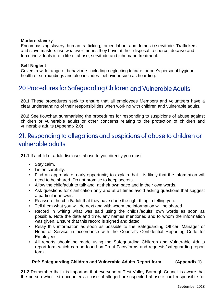#### **Modern slavery**

Encompassing slavery, human trafficking, forced labour and domestic servitude. Traffickers and slave masters use whatever means they have at their disposal to coerce, deceive and force individuals into a life of abuse, servitude and inhumane treatment.

#### **Self-Neglect**

Covers a wide range of behaviours including neglecting to care for one's personal hygiene, health or surroundings and also includes behaviour such as hoarding.

### 20 Procedures for Safeguarding Children and Vulnerable Adults

**20.1** These procedures seek to ensure that all employees Members and volunteers have a clear understanding of their responsibilities when working with children and vulnerable adults.

**20.2** See flowchart summarising the procedures for responding to suspicions of abuse against children or vulnerable adults or other concerns relating to the protection of children and vulnerable adults (Appendix 2.0)

### 21. Responding to allegations and suspicions of abuse to children or vulnerable adults.

**21.1** If a child or adult discloses abuse to you directly you must:

- Stay calm.
- Listen carefully.
- Find an appropriate, early opportunity to explain that it is likely that the information will need to be shared. Do not promise to keep secrets.
- Allow the child/adult to talk and at their own pace and in their own words.
- Ask questions for clarification only and at all times avoid asking questions that suggest a particular answer.
- Reassure the child/adult that they have done the right thing in telling you.
- Tell them what you will do next and with whom the information will be shared.
- Record in writing what was said using the childs'/adults' own words as soon as possible. Note the date and time, any names mentioned and to whom the information was given. Ensure that this record is signed and dated.
- Relay this information as soon as possible to the Safeguarding Officer, Manager or Head of Service in accordance with the Council's Confidential Reporting Code for Employees.
- All reports should be made using the Safeguarding Children and Vulnerable Adults report form which can be found on Trout Face/forms and requests/safeguarding report form.

#### **Ref: Safeguarding Children and Vulnerable Adults Report form (Appendix 1)**

**21.2** Remember that it is important that everyone at Test Valley Borough Council is aware that the person who first encounters a case of alleged or suspected abuse is **not** responsible for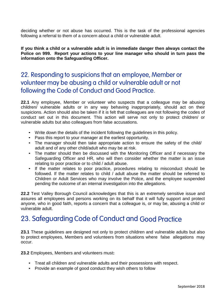deciding whether or not abuse has occurred. This is the task of the professional agencies following a referral to them of a concern about a child or vulnerable adult.

**If you think a child or a vulnerable adult is in immediate danger then always contact the Police on 999. Report your actions to your line manager who should in turn pass the information onto the Safeguarding Officer.**

### 22. Responding to suspicions that an employee, Member or volunteer may be abusing a child or vulnerable adult or not following the Code of Conduct and Good Practice.

**22.1** Any employee, Member or volunteer who suspects that a colleague may be abusing children/ vulnerable adults or in any way behaving inappropriately, should act on their suspicions. Action should also be taken if it is felt that colleagues are not following the codes of conduct set out in this document. This action will serve not only to protect children/ or vulnerable adults but also colleagues from false accusations.

- Write down the details of the incident following the guidelines in this policy.
- Pass this report to your manager at the earliest opportunity.
- The manager should then take appropriate action to ensure the safety of the child/ adult and of any other child/adult who may be at risk.
- The matter should then be discussed with the Monitoring Officer and if necessary the Safeguarding Officer and HR, who will then consider whether the matter is an issue relating to poor practice or to child / adult abuse.
- If the matter relates to poor practice, procedures relating to misconduct should be followed. If the matter relates to child / adult abuse the matter should be referred to Children or Adult Services who may involve the Police, and the employee suspended pending the outcome of an internal investigation into the allegations.

**22.2** Test Valley Borough Council acknowledges that this is an extremely sensitive issue and assures all employees and persons working on its behalf that it will fully support and protect anyone, who in good faith, reports a concern that a colleague is, or may be, abusing a child or vulnerable adult.

## 23. Safeguarding Code of Conduct and Good Practice

**23.1** These guidelines are designed not only to protect children and vulnerable adults but also to protect employees, Members and volunteers from situations where false allegations may occur.

**23.2** Employees, Members and volunteers must**:**

- Treat all children and vulnerable adults and their possessions with respect.
- Provide an example of good conduct they wish others to follow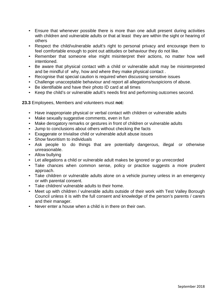- Ensure that whenever possible there is more than one adult present during activities with children and vulnerable adults or that at least they are within the sight or hearing of others
- Respect the child/vulnerable adult's right to personal privacy and encourage them to feel comfortable enough to point out attitudes or behaviour they do not like.
- Remember that someone else might misinterpret their actions, no matter how well intentioned.
- Be aware that physical contact with a child or vulnerable adult may be misinterpreted and be mindful of why, how and where they make physical contact .
- Recognise that special caution is required when discussing sensitive issues
- Challenge unacceptable behaviour and report all allegations/suspicions of abuse.
- Be identifiable and have their photo ID card at all times
- Keep the child's or vulnerable adult's needs first and performing outcomes second.

**23.3** Employees, Members and volunteers must **not:**

- Have inappropriate physical or verbal contact with children or vulnerable adults
- Make sexually suggestive comments, even in fun
- Make derogatory remarks or gestures in front of children or vulnerable adults
- Jump to conclusions about others without checking the facts
- Exaggerate or trivialise child or vulnerable adult abuse issues
- Show favoritism to individuals
- Ask people to do things that are potentially dangerous, illegal or otherwise unreasonable.
- Allow bullying
- Let allegations a child or vulnerable adult makes be ignored or go unrecorded
- Take chances when common sense, policy or practice suggests a more prudent approach.
- Take children or vulnerable adults alone on a vehicle journey unless in an emergency or with parental consent.
- Take children/ vulnerable adults to their home.
- Meet up with children / vulnerable adults outside of their work with Test Valley Borough Council unless it is with the full consent and knowledge of the person's parents / carers and their manager.
- Never enter a house when a child is in there on their own.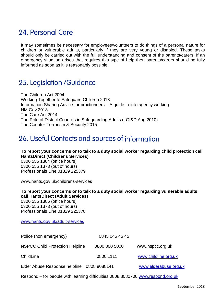# 24. Personal Care

It may sometimes be necessary for employees/volunteers to do things of a personal nature for children or vulnerable adults, particularly if they are very young or disabled. These tasks should only be carried out with the full understanding and consent of the parents/carers. If an emergency situation arises that requires this type of help then parents/carers should be fully informed as soon as it is reasonably possible.

### 25. Legislation /Guidance

The Children Act 2004 Working Together to Safeguard Children 2018 Information Sharing Advice for practioneers – A guide to interagency working HM Gov 2018 The Care Act 2014 The Role of District Councils in Safeguarding Adults (LGI&D Aug 2010) The Counter-Terrorism & Security 2015

# 26. Useful Contacts and sources of information

**To report your concerns or to talk to a duty social worker regarding child protection call HantsDirect (Childrens Services)** 0300 555 1384 (office hours) 0300 555 1373 (out of hours) Professionals Line 01329 225379

[www.hants.gov.uk/childrens-services](http://www.hants.gov.uk/childrens-services)

**To report your concerns or to talk to a duty social worker regarding vulnerable adults call HantsDirect (Adult Services)** 0300 555 1386 (office hours) 0300 555 1373 (out of hours) Professionals Line 01329 225378

[www.hants.gov.uk/adult-services](http://www.hants.gov.uk/adult-services)

| Police (non emergency)                     | 0845 045 45 45 |                       |
|--------------------------------------------|----------------|-----------------------|
| <b>NSPCC Child Protection Helpline</b>     | 0800 800 5000  | www.nspcc.org.uk      |
| ChildLine                                  | 0800 1111      | www.childline.org.uk  |
| Elder Abuse Response helpline 0808 8088141 |                | www.elderabuse.org.uk |

Respond – for people with learning difficulties 0808 8080700 [www.respond.org.uk](http://www.respond.org.uk/)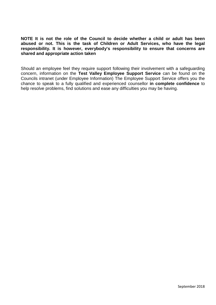**NOTE It is not the role of the Council to decide whether a child or adult has been abused or not. This is the task of Children or Adult Services, who have the legal responsibility. It is however, everybody's responsibility to ensure that concerns are shared and appropriate action taken**

Should an employee feel they require support following their involvement with a safeguarding concern, information on the **Test Valley Employee Support Service** can be found on the Councils intranet (under Employee Information) The Employee Support Service offers you the chance to speak to a fully qualified and experienced counsellor **in complete confidence** to help resolve problems, find solutions and ease any difficulties you may be having.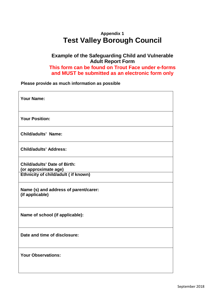### **Appendix 1 Test Valley Borough Council**

#### **Example of the Safeguarding Child and Vulnerable Adult Report Form This form can be found on Trout Face under e-forms and MUST be submitted as an electronic form only**

**Please provide as much information as possible**

| <b>Your Name:</b>                                        |  |  |  |  |
|----------------------------------------------------------|--|--|--|--|
|                                                          |  |  |  |  |
|                                                          |  |  |  |  |
| <b>Your Position:</b>                                    |  |  |  |  |
|                                                          |  |  |  |  |
| <b>Child/adults' Name:</b>                               |  |  |  |  |
|                                                          |  |  |  |  |
| <b>Child/adults' Address:</b>                            |  |  |  |  |
| <b>Child/adults' Date of Birth:</b>                      |  |  |  |  |
| (or approximate age)                                     |  |  |  |  |
| Ethnicity of child/adult ( if known)                     |  |  |  |  |
|                                                          |  |  |  |  |
| Name (s) and address of parent/carer:<br>(if applicable) |  |  |  |  |
|                                                          |  |  |  |  |
|                                                          |  |  |  |  |
| Name of school (if applicable):                          |  |  |  |  |
|                                                          |  |  |  |  |
| Date and time of disclosure:                             |  |  |  |  |
|                                                          |  |  |  |  |
|                                                          |  |  |  |  |
| <b>Your Observations:</b>                                |  |  |  |  |
|                                                          |  |  |  |  |
|                                                          |  |  |  |  |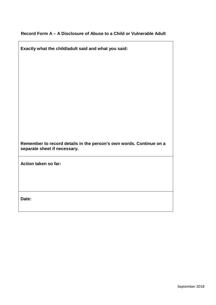#### **Record Form A – A Disclosure of Abuse to a Child or Vulnerable Adult**

 $\overline{1}$ 

 $\overline{\phantom{a}}$ 

| Exactly what the child/adult said and what you said:                                                |  |  |  |  |
|-----------------------------------------------------------------------------------------------------|--|--|--|--|
|                                                                                                     |  |  |  |  |
|                                                                                                     |  |  |  |  |
|                                                                                                     |  |  |  |  |
|                                                                                                     |  |  |  |  |
|                                                                                                     |  |  |  |  |
|                                                                                                     |  |  |  |  |
|                                                                                                     |  |  |  |  |
|                                                                                                     |  |  |  |  |
|                                                                                                     |  |  |  |  |
| Remember to record details in the person's own words. Continue on a<br>separate sheet if necessary. |  |  |  |  |
| Action taken so far:                                                                                |  |  |  |  |
|                                                                                                     |  |  |  |  |
|                                                                                                     |  |  |  |  |
| Date:                                                                                               |  |  |  |  |
|                                                                                                     |  |  |  |  |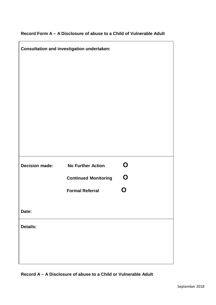#### **Record Form A – A Disclosure of abuse to a Child of Vulnerable Adult**

| <b>Consultation and investigation undertaken:</b> |                             |             |  |  |
|---------------------------------------------------|-----------------------------|-------------|--|--|
|                                                   |                             |             |  |  |
|                                                   |                             |             |  |  |
|                                                   |                             |             |  |  |
|                                                   |                             |             |  |  |
|                                                   |                             |             |  |  |
|                                                   |                             |             |  |  |
|                                                   |                             |             |  |  |
| <b>Decision made:</b>                             | <b>No Further Action</b>    | $\mathbf O$ |  |  |
|                                                   | <b>Continued Monitoring</b> | $\mathbf O$ |  |  |
|                                                   | <b>Formal Referral</b>      | N           |  |  |
| Date:                                             |                             |             |  |  |
| <b>Details:</b>                                   |                             |             |  |  |
|                                                   |                             |             |  |  |
|                                                   |                             |             |  |  |
|                                                   |                             |             |  |  |

**Record A – A Disclosure of abuse to a Child or Vulnerable Adult**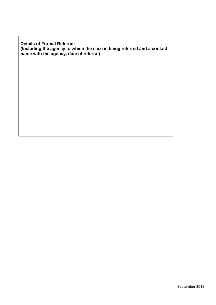**Details of Formal Referral: (Including the agency to which the case is being referred and a contact name with the agency, date of referral)**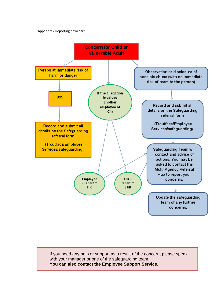Appendix 2 Reporting flowchart



If you need any help or support as a result of the concern, please speak with your manager or one of the safeguarding team. **You can also contact the Employee Support Service.**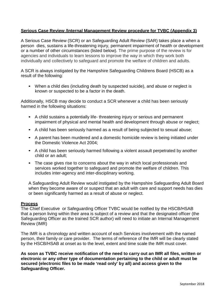#### **Serious Case Review /Internal Management Review procedure for TVBC (Appendix 3)**

A Serious Case Review (SCR) or an Safeguarding Adult Review (SAR) takes place a when a person dies, sustains a life-threatening injury, permanent impairment of health or development or a number of other circumstances (listed below). The prime purpose of the review is for agencies and individuals to learn lessons to improve the way in which they work both individually and collectively to safeguard and promote the welfare of children and adults.

A SCR is always instigated by the Hampshire Safeguarding Childrens Board (HSCB) as a result of the following:

• When a child dies (including death by suspected suicide), and abuse or neglect is known or suspected to be a factor in the death.

Additionally, HSCB may decide to conduct a SCR whenever a child has been seriously harmed in the following situations:

- A child sustains a potentially life- threatening injury or serious and permanent impairment of physical and mental health and development through abuse or neglect;
- A child has been seriously harmed as a result of being subjected to sexual abuse;
- A parent has been murdered and a domestic homicide review is being initiated under the Domestic Violence Act 2004;
- A child has been seriously harmed following a violent assault perpetrated by another child or an adult;
- The case gives rise to concerns about the way in which local professionals and services worked together to safeguard and promote the welfare of children. This includes inter-agency and inter-disciplinary working.

A Safeguarding Adult Review would instigated by the Hampshire Safeguarding Adult Board when they become aware of or suspect that an adult with care and support needs has dies or been significantly harmed as a result of abuse or neglect.

#### **Process**

The Chief Executive or Safeguarding Officer TVBC would be notified by the HSCB/HSAB that a person living within their area is subject of a review and that the designated officer (the Safeguarding Officer as the trained SCR author) will need to initiate an Internal Management Review (IMR)

The IMR is a chronology and written account of each Services involvement with the named person, their family or care provider. The terms of reference of the IMR will be clearly stated by the HSCB/HSAB at onset as to the level, extent and time scale the IMR must cover.

**As soon as TVBC receive notification of the need to carry out an IMR all files, written or electronic or any other type of documentation pertaining to the child or adult must be secured (electronic files to be made 'read only' by all) and access given to the Safeguarding Officer.**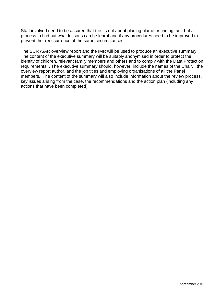Staff involved need to be assured that the is not about placing blame or finding fault but a process to find out what lessons can be learnt and if any procedures need to be improved to prevent the reoccurrence of the same circumstances.

The SCR /SAR overview report and the IMR will be used to produce an executive summary. The content of the executive summary will be suitably anonymised in order to protect the identity of children, relevant family members and others and to comply with the Data Protection requirements. . The executive summary should, however, include the names of the Chair, , the overview report author, and the job titles and employing organisations of all the Panel members. The content of the summary will also include information about the review process, key issues arising from the case, the recommendations and the action plan (including any actions that have been completed).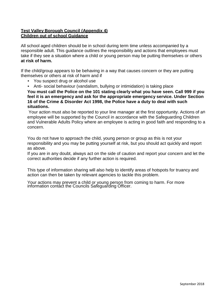#### **Test Valley Borough Council (Appendix 4) Children out of school Guidance**

All school aged children should be in school during term time unless accompanied by a responsible adult. This guidance outlines the responsibility and actions that employees must take if they see a situation where a child or young person may be putting themselves or others **at risk of harm.**

If the child/group appears to be behaving in a way that causes concern or they are putting themselves or others at risk of harm and if

- You suspect drug or alcohol use
- Anti- social behaviour (vandalism, bullying or intimidation) is taking place

**You must call the Police on the 101 stating clearly what you have seen. Call 999 if you feel it is an emergency and ask for the appropriate emergency service. Under Section 16 of the Crime & Disorder Act 1998, the Police have a duty to deal with such situations.** 

Your action must also be reported to your line manager at the first opportunity. Actions of an employee will be supported by the Council in accordance with the Safeguarding Children and Vulnerable Adults Policy where an employee is acting in good faith and responding to a concern.

You do not have to approach the child, young person or group as this is not your responsibility and you may be putting yourself at risk, but you should act quickly and report as above.

If you are in any doubt, always act on the side of caution and report your concern and let the correct authorities decide if any further action is required.

This type of information sharing will also help to identify areas of hotspots for truancy and action can then be taken by relevant agencies to tackle this problem.

Your actions may prevent a child or young person from coming to harm. For more information contact the Councils Safeguarding Officer.